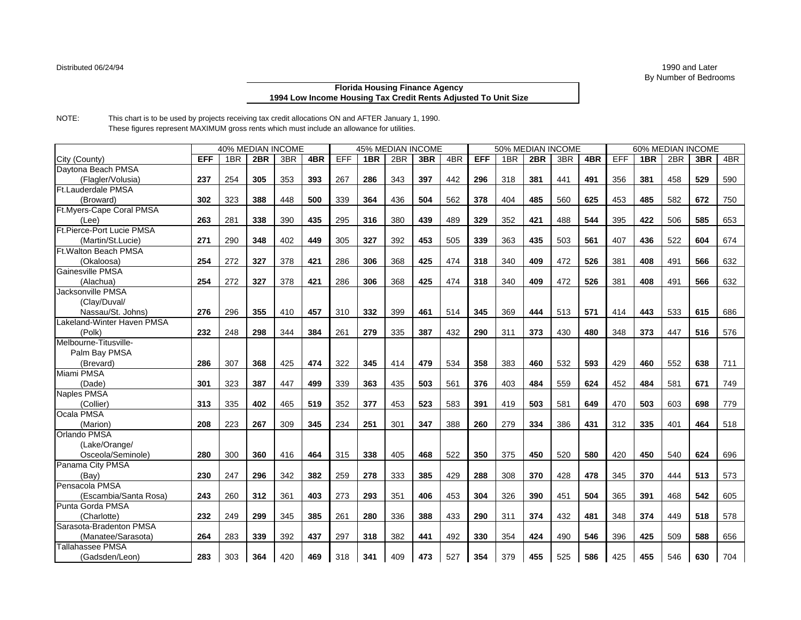## **Florida Housing Finance Agency 1994 Low Income Housing Tax Credit Rents Adjusted To Unit Size**

NOTE: This chart is to be used by projects receiving tax credit allocations ON and AFTER January 1, 1990. These figures represent MAXIMUM gross rents which must include an allowance for utilities.

|                              | <b>40% MEDIAN INCOME</b> |                 |     |     |     | <b>45% MEDIAN INCOME</b> |     |     |     |     |            |     | 50% MEDIAN INCOME |     |     | 60% MEDIAN INCOME |                 |     |     |     |  |
|------------------------------|--------------------------|-----------------|-----|-----|-----|--------------------------|-----|-----|-----|-----|------------|-----|-------------------|-----|-----|-------------------|-----------------|-----|-----|-----|--|
| City (County)                | <b>EFF</b>               | 1 <sub>BR</sub> | 2BR | 3BR | 4BR | EFF                      | 1BR | 2BR | 3BR | 4BR | <b>EFF</b> | 1BR | 2BR               | 3BR | 4BR | EFF               | 1 <sub>BR</sub> | 2BR | 3BR | 4BR |  |
| Daytona Beach PMSA           |                          |                 |     |     |     |                          |     |     |     |     |            |     |                   |     |     |                   |                 |     |     |     |  |
| (Flagler/Volusia)            | 237                      | 254             | 305 | 353 | 393 | 267                      | 286 | 343 | 397 | 442 | 296        | 318 | 381               | 441 | 491 | 356               | 381             | 458 | 529 | 590 |  |
| <b>Ft.Lauderdale PMSA</b>    |                          |                 |     |     |     |                          |     |     |     |     |            |     |                   |     |     |                   |                 |     |     |     |  |
| (Broward)                    | 302                      | 323             | 388 | 448 | 500 | 339                      | 364 | 436 | 504 | 562 | 378        | 404 | 485               | 560 | 625 | 453               | 485             | 582 | 672 | 750 |  |
| Ft.Myers-Cape Coral PMSA     |                          |                 |     |     |     |                          |     |     |     |     |            |     |                   |     |     |                   |                 |     |     |     |  |
| (Lee)                        | 263                      | 281             | 338 | 390 | 435 | 295                      | 316 | 380 | 439 | 489 | 329        | 352 | 421               | 488 | 544 | 395               | 422             | 506 | 585 | 653 |  |
| Ft.Pierce-Port Lucie PMSA    |                          |                 |     |     |     |                          |     |     |     |     |            |     |                   |     |     |                   |                 |     |     |     |  |
| (Martin/St.Lucie)            | 271                      | 290             | 348 | 402 | 449 | 305                      | 327 | 392 | 453 | 505 | 339        | 363 | 435               | 503 | 561 | 407               | 436             | 522 | 604 | 674 |  |
| <b>Ft. Walton Beach PMSA</b> |                          |                 |     |     |     |                          |     |     |     |     |            |     |                   |     |     |                   |                 |     |     |     |  |
| (Okaloosa)                   | 254                      | 272             | 327 | 378 | 421 | 286                      | 306 | 368 | 425 | 474 | 318        | 340 | 409               | 472 | 526 | 381               | 408             | 491 | 566 | 632 |  |
| Gainesville PMSA             |                          |                 |     |     |     |                          |     |     |     |     |            |     |                   |     |     |                   |                 |     |     |     |  |
| (Alachua)                    | 254                      | 272             | 327 | 378 | 421 | 286                      | 306 | 368 | 425 | 474 | 318        | 340 | 409               | 472 | 526 | 381               | 408             | 491 | 566 | 632 |  |
| <b>Jacksonville PMSA</b>     |                          |                 |     |     |     |                          |     |     |     |     |            |     |                   |     |     |                   |                 |     |     |     |  |
| (Clay/Duval/                 |                          |                 |     |     |     |                          |     |     |     |     |            |     |                   |     |     |                   |                 |     |     |     |  |
| Nassau/St. Johns)            | 276                      | 296             | 355 | 410 | 457 | 310                      | 332 | 399 | 461 | 514 | 345        | 369 | 444               | 513 | 571 | 414               | 443             | 533 | 615 | 686 |  |
| Lakeland-Winter Haven PMSA   |                          |                 |     |     |     |                          |     |     |     |     |            |     |                   |     |     |                   |                 |     |     |     |  |
| (Polk)                       | 232                      | 248             | 298 | 344 | 384 | 261                      | 279 | 335 | 387 | 432 | 290        | 311 | 373               | 430 | 480 | 348               | 373             | 447 | 516 | 576 |  |
| Melbourne-Titusville-        |                          |                 |     |     |     |                          |     |     |     |     |            |     |                   |     |     |                   |                 |     |     |     |  |
| Palm Bay PMSA                |                          |                 |     |     |     |                          |     |     |     |     |            |     |                   |     |     |                   |                 |     |     |     |  |
| (Brevard)                    | 286                      | 307             | 368 | 425 | 474 | 322                      | 345 | 414 | 479 | 534 | 358        | 383 | 460               | 532 | 593 | 429               | 460             | 552 | 638 | 711 |  |
| Miami PMSA                   |                          |                 |     |     |     |                          |     |     |     |     |            |     |                   |     |     |                   |                 |     |     |     |  |
| (Dade)                       | 301                      | 323             | 387 | 447 | 499 | 339                      | 363 | 435 | 503 | 561 | 376        | 403 | 484               | 559 | 624 | 452               | 484             | 581 | 671 | 749 |  |
| Naples PMSA                  |                          |                 |     |     |     |                          |     |     |     |     |            |     |                   |     |     |                   |                 |     |     |     |  |
| (Collier)                    | 313                      | 335             | 402 | 465 | 519 | 352                      | 377 | 453 | 523 | 583 | 391        | 419 | 503               | 581 | 649 | 470               | 503             | 603 | 698 | 779 |  |
| Ocala PMSA                   |                          |                 |     |     |     |                          |     |     |     |     |            |     |                   |     |     |                   |                 |     |     |     |  |
| (Marion)                     | 208                      | 223             | 267 | 309 | 345 | 234                      | 251 | 301 | 347 | 388 | 260        | 279 | 334               | 386 | 431 | 312               | 335             | 401 | 464 | 518 |  |
| Orlando PMSA                 |                          |                 |     |     |     |                          |     |     |     |     |            |     |                   |     |     |                   |                 |     |     |     |  |
| (Lake/Orange/                |                          |                 |     |     |     |                          |     |     |     |     |            |     |                   |     |     |                   |                 |     |     |     |  |
| Osceola/Seminole)            | 280                      | 300             | 360 | 416 | 464 | 315                      | 338 | 405 | 468 | 522 | 350        | 375 | 450               | 520 | 580 | 420               | 450             | 540 | 624 | 696 |  |
| Panama City PMSA             |                          |                 |     |     |     |                          |     |     |     |     |            |     |                   |     |     |                   |                 |     |     |     |  |
| (Bav)                        | 230                      | 247             | 296 | 342 | 382 | 259                      | 278 | 333 | 385 | 429 | 288        | 308 | 370               | 428 | 478 | 345               | 370             | 444 | 513 | 573 |  |
| Pensacola PMSA               |                          |                 |     |     |     |                          |     |     |     |     |            |     |                   |     |     |                   |                 |     |     |     |  |
| (Escambia/Santa Rosa)        | 243                      | 260             | 312 | 361 | 403 | 273                      | 293 | 351 | 406 | 453 | 304        | 326 | 390               | 451 | 504 | 365               | 391             | 468 | 542 | 605 |  |
| Punta Gorda PMSA             |                          |                 |     |     |     |                          |     |     |     |     |            |     |                   |     |     |                   |                 |     |     |     |  |
| (Charlotte)                  | 232                      | 249             | 299 | 345 | 385 | 261                      | 280 | 336 | 388 | 433 | 290        | 311 | 374               | 432 | 481 | 348               | 374             | 449 | 518 | 578 |  |
| Sarasota-Bradenton PMSA      |                          |                 |     |     |     |                          |     |     |     |     |            |     |                   |     |     |                   |                 |     |     |     |  |
| (Manatee/Sarasota)           | 264                      | 283             | 339 | 392 | 437 | 297                      | 318 | 382 | 441 | 492 | 330        | 354 | 424               | 490 | 546 | 396               | 425             | 509 | 588 | 656 |  |
| <b>Tallahassee PMSA</b>      |                          |                 |     |     |     |                          |     |     |     |     |            |     |                   |     |     |                   |                 |     |     |     |  |
| (Gadsden/Leon)               | 283                      | 303             | 364 | 420 | 469 | 318                      | 341 | 409 | 473 | 527 | 354        | 379 | 455               | 525 | 586 | 425               | 455             | 546 | 630 | 704 |  |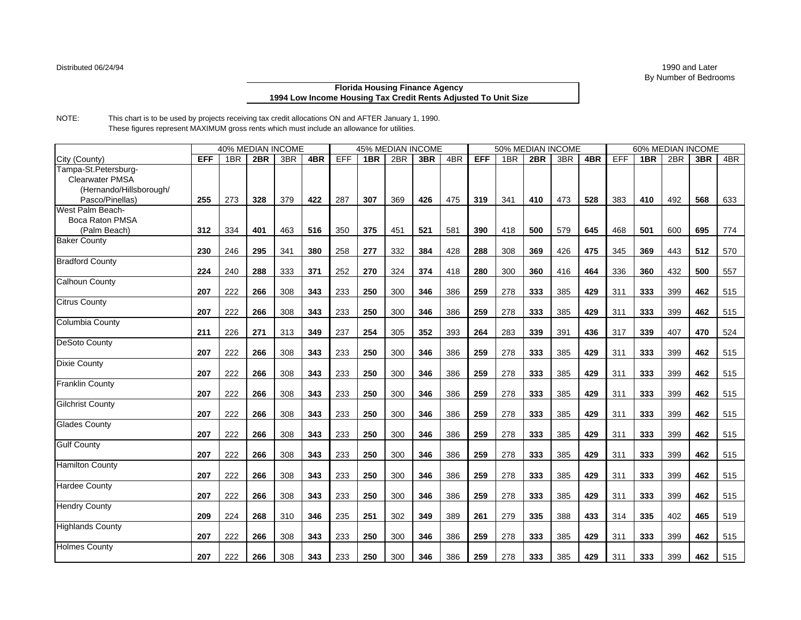## **Florida Housing Finance Agency 1994 Low Income Housing Tax Credit Rents Adjusted To Unit Size**

NOTE: This chart is to be used by projects receiving tax credit allocations ON and AFTER January 1, 1990. These figures represent MAXIMUM gross rents which must include an allowance for utilities.

|                         | <b>40% MEDIAN INCOME</b> |     |     |     |     | <b>45% MEDIAN INCOME</b> |     |     |     |     |            |     | 50% MEDIAN INCOME |     |     | 60% MEDIAN INCOME |     |     |     |     |  |
|-------------------------|--------------------------|-----|-----|-----|-----|--------------------------|-----|-----|-----|-----|------------|-----|-------------------|-----|-----|-------------------|-----|-----|-----|-----|--|
| City (County)           | <b>EFF</b>               | 1BR | 2BR | 3BR | 4BR | EFF                      | 1BR | 2BR | 3BR | 4BR | <b>EFF</b> | 1BR | 2BR               | 3BR | 4BR | EFF               | 1BR | 2BR | 3BR | 4BR |  |
| Tampa-St.Petersburg-    |                          |     |     |     |     |                          |     |     |     |     |            |     |                   |     |     |                   |     |     |     |     |  |
| <b>Clearwater PMSA</b>  |                          |     |     |     |     |                          |     |     |     |     |            |     |                   |     |     |                   |     |     |     |     |  |
| (Hernando/Hillsborough/ |                          |     |     |     |     |                          |     |     |     |     |            |     |                   |     |     |                   |     |     |     |     |  |
| Pasco/Pinellas)         | 255                      | 273 | 328 | 379 | 422 | 287                      | 307 | 369 | 426 | 475 | 319        | 341 | 410               | 473 | 528 | 383               | 410 | 492 | 568 | 633 |  |
| West Palm Beach-        |                          |     |     |     |     |                          |     |     |     |     |            |     |                   |     |     |                   |     |     |     |     |  |
| Boca Raton PMSA         |                          |     |     |     |     |                          |     |     |     |     |            |     |                   |     |     |                   |     |     |     |     |  |
| (Palm Beach)            | 312                      | 334 | 401 | 463 | 516 | 350                      | 375 | 451 | 521 | 581 | 390        | 418 | 500               | 579 | 645 | 468               | 501 | 600 | 695 | 774 |  |
| <b>Baker County</b>     |                          |     |     |     |     |                          |     |     |     |     |            |     |                   |     |     |                   |     |     |     |     |  |
|                         | 230                      | 246 | 295 | 341 | 380 | 258                      | 277 | 332 | 384 | 428 | 288        | 308 | 369               | 426 | 475 | 345               | 369 | 443 | 512 | 570 |  |
| <b>Bradford County</b>  |                          |     |     |     |     |                          |     |     |     |     |            |     |                   |     |     |                   |     |     |     |     |  |
|                         | 224                      | 240 | 288 | 333 | 371 | 252                      | 270 | 324 | 374 | 418 | 280        | 300 | 360               | 416 | 464 | 336               | 360 | 432 | 500 | 557 |  |
| <b>Calhoun County</b>   |                          |     |     |     |     |                          |     |     |     |     |            |     |                   |     |     |                   |     |     |     |     |  |
|                         | 207                      | 222 | 266 | 308 | 343 | 233                      | 250 | 300 | 346 | 386 | 259        | 278 | 333               | 385 | 429 | 311               | 333 | 399 | 462 | 515 |  |
| <b>Citrus County</b>    |                          |     |     |     |     |                          |     |     |     |     |            |     |                   |     |     |                   |     |     |     |     |  |
|                         | 207                      | 222 | 266 | 308 | 343 | 233                      | 250 | 300 | 346 | 386 | 259        | 278 | 333               | 385 | 429 | 311               | 333 | 399 | 462 | 515 |  |
| <b>Columbia County</b>  |                          |     |     |     |     |                          |     |     |     |     |            |     |                   |     |     |                   |     |     |     |     |  |
|                         | 211                      | 226 | 271 | 313 | 349 | 237                      | 254 | 305 | 352 | 393 | 264        | 283 | 339               | 391 | 436 | 317               | 339 | 407 | 470 | 524 |  |
| DeSoto County           |                          |     |     |     |     |                          |     |     |     |     |            |     |                   |     |     |                   |     |     |     |     |  |
|                         | 207                      | 222 | 266 | 308 | 343 | 233                      | 250 | 300 | 346 | 386 | 259        | 278 | 333               | 385 | 429 | 311               | 333 | 399 | 462 | 515 |  |
| <b>Dixie County</b>     |                          |     |     |     |     |                          |     |     |     |     |            |     |                   |     |     |                   |     |     |     |     |  |
|                         | 207                      | 222 | 266 | 308 | 343 | 233                      | 250 | 300 | 346 | 386 | 259        | 278 | 333               | 385 | 429 | 311               | 333 | 399 | 462 | 515 |  |
| <b>Franklin County</b>  |                          |     |     |     |     |                          |     |     |     |     |            |     |                   |     |     |                   |     |     |     |     |  |
|                         | 207                      | 222 | 266 | 308 | 343 | 233                      | 250 | 300 | 346 | 386 | 259        | 278 | 333               | 385 | 429 | 311               | 333 | 399 | 462 | 515 |  |
| <b>Gilchrist County</b> |                          |     |     |     |     |                          |     |     |     |     |            |     |                   |     |     |                   |     |     |     |     |  |
|                         | 207                      | 222 | 266 | 308 | 343 | 233                      | 250 | 300 | 346 | 386 | 259        | 278 | 333               | 385 | 429 | 311               | 333 | 399 | 462 | 515 |  |
| <b>Glades County</b>    |                          |     |     |     |     |                          |     |     |     |     |            |     |                   |     |     |                   |     |     |     |     |  |
|                         | 207                      | 222 | 266 | 308 | 343 | 233                      | 250 | 300 | 346 | 386 | 259        | 278 | 333               | 385 | 429 | 311               | 333 | 399 | 462 | 515 |  |
| <b>Gulf County</b>      |                          |     |     |     |     |                          |     |     |     |     |            |     |                   |     |     |                   |     |     |     |     |  |
|                         | 207                      | 222 | 266 | 308 | 343 | 233                      | 250 | 300 | 346 | 386 | 259        | 278 | 333               | 385 | 429 | 311               | 333 | 399 | 462 | 515 |  |
| <b>Hamilton County</b>  |                          |     |     |     |     |                          |     |     |     |     |            |     |                   |     |     |                   |     |     |     |     |  |
|                         | 207                      | 222 | 266 | 308 | 343 | 233                      | 250 | 300 | 346 | 386 | 259        | 278 | 333               | 385 | 429 | 311               | 333 | 399 | 462 | 515 |  |
| <b>Hardee County</b>    |                          |     |     |     |     |                          |     |     |     |     |            |     |                   |     |     |                   |     |     |     |     |  |
|                         | 207                      | 222 | 266 | 308 | 343 | 233                      | 250 | 300 | 346 | 386 | 259        | 278 | 333               | 385 | 429 | 311               | 333 | 399 | 462 | 515 |  |
| <b>Hendry County</b>    |                          |     |     |     |     |                          |     |     |     |     |            |     |                   |     |     |                   |     |     |     |     |  |
|                         | 209                      | 224 | 268 | 310 | 346 | 235                      | 251 | 302 | 349 | 389 | 261        | 279 | 335               | 388 | 433 | 314               | 335 | 402 | 465 | 519 |  |
| <b>Highlands County</b> |                          |     |     |     |     |                          |     |     |     |     |            |     |                   |     |     |                   |     |     |     |     |  |
|                         | 207                      | 222 | 266 | 308 | 343 | 233                      | 250 | 300 | 346 | 386 | 259        | 278 | 333               | 385 | 429 | 311               | 333 | 399 | 462 | 515 |  |
| <b>Holmes County</b>    |                          |     |     |     |     |                          |     |     |     |     |            |     |                   |     |     |                   |     |     |     |     |  |
|                         | 207                      | 222 | 266 | 308 | 343 | 233                      | 250 | 300 | 346 | 386 | 259        | 278 | 333               | 385 | 429 | 311               | 333 | 399 | 462 | 515 |  |